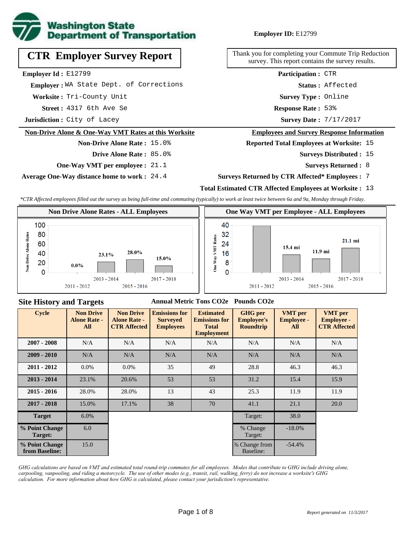

# **CTR Employer Survey Report**

**Employer Id :** E12799

 **Employer :** WA State Dept. of Corrections

**Worksite :** Tri-County Unit

**Assumed :** 4317 6th Ave Se **Response Rate :** 

**Jurisdiction :** City of Lacey

#### **Non-Drive Alone & One-Way VMT Rates at this Worksite**

**Non-Drive Alone Rate :** 15.0% **Drive Alone Rate :** 85.0%

**One-Way VMT per employee :** 21.1

**Average One-Way distance home to work :** 24.4

**Employer ID:** E12799

Thank you for completing your Commute Trip Reduction survey. This report contains the survey results.

> **Status :** Affected **Participation :** CTR

**Survey Type :** Online

Response Rate: 53%

Survey Date: 7/17/2017

#### **Employees and Survey Response Information**

**Reported Total Employees at Worksite:** 15

- Surveys Distributed : 15
	- **Surveys Returned :** 8

#### **Surveys Returned by CTR Affected\* Employees :** 7

### **Total Estimated CTR Affected Employees at Worksite :** 13

*\*CTR Affected employees filled out the survey as being full-time and commuting (typically) to work at least twice between 6a and 9a, Monday through Friday.*



### **Site History and Targets**

#### **Annual Metric Tons CO2e Pounds CO2e**

| <b>Cycle</b>                     | <b>Non Drive</b><br><b>Alone Rate -</b><br>All | <b>Non Drive</b><br><b>Alone Rate -</b><br><b>CTR Affected</b> | <b>Emissions for</b><br><b>Surveyed</b><br><b>Employees</b> | <b>Estimated</b><br><b>Emissions for</b><br><b>Total</b><br><b>Employment</b> | <b>GHG</b> per<br><b>Employee's</b><br><b>Roundtrip</b> | <b>VMT</b> per<br><b>Employee -</b><br>All | <b>VMT</b> per<br><b>Employee -</b><br><b>CTR Affected</b> |
|----------------------------------|------------------------------------------------|----------------------------------------------------------------|-------------------------------------------------------------|-------------------------------------------------------------------------------|---------------------------------------------------------|--------------------------------------------|------------------------------------------------------------|
| $2007 - 2008$                    | N/A                                            | N/A                                                            | N/A                                                         | N/A                                                                           | N/A                                                     | N/A                                        | N/A                                                        |
| $2009 - 2010$                    | N/A                                            | N/A                                                            | N/A                                                         | N/A                                                                           | N/A                                                     | N/A                                        | N/A                                                        |
| $2011 - 2012$                    | $0.0\%$                                        | $0.0\%$                                                        | 35                                                          | 49                                                                            | 28.8                                                    | 46.3                                       | 46.3                                                       |
| $2013 - 2014$                    | 23.1%                                          | 20.6%                                                          | 53                                                          | 53                                                                            | 31.2                                                    | 15.4                                       | 15.9                                                       |
| $2015 - 2016$                    | 28.0%                                          | 28.0%                                                          | 13                                                          | 43                                                                            | 25.3                                                    | 11.9                                       | 11.9                                                       |
| $2017 - 2018$                    | 15.0%                                          | 17.1%                                                          | 38                                                          | 70                                                                            | 41.1                                                    | 21.1                                       | 20.0                                                       |
| <b>Target</b>                    | $6.0\%$                                        |                                                                |                                                             |                                                                               | Target:                                                 | 38.0                                       |                                                            |
| % Point Change<br>Target:        | 6.0                                            |                                                                |                                                             |                                                                               | % Change<br>Target:                                     | $-18.0\%$                                  |                                                            |
| % Point Change<br>from Baseline: | 15.0                                           |                                                                |                                                             |                                                                               | % Change from<br>Baseline:                              | $-54.4%$                                   |                                                            |

*GHG calculations are based on VMT and estimated total round-trip commutes for all employees. Modes that contribute to GHG include driving alone, carpooling, vanpooling, and riding a motorcycle. The use of other modes (e.g., transit, rail, walking, ferry) do not increase a worksite's GHG calculation. For more information about how GHG is calculated, please contact your jurisdiction's representative.*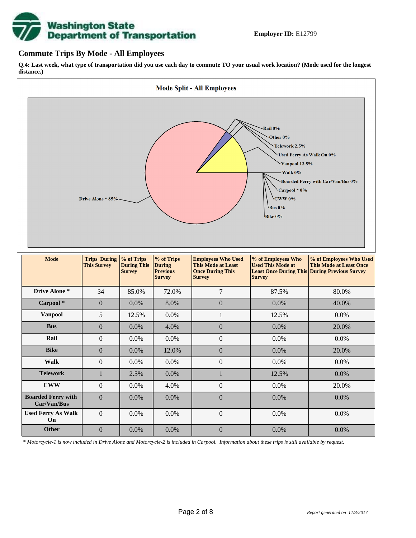

### **Commute Trips By Mode - All Employees**

**Q.4: Last week, what type of transportation did you use each day to commute TO your usual work location? (Mode used for the longest distance.)**



*\* Motorcycle-1 is now included in Drive Alone and Motorcycle-2 is included in Carpool. Information about these trips is still available by request.*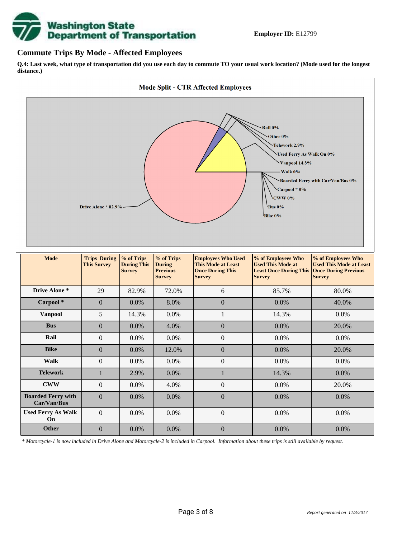

## **Commute Trips By Mode - Affected Employees**

**Q.4: Last week, what type of transportation did you use each day to commute TO your usual work location? (Mode used for the longest distance.)**



*\* Motorcycle-1 is now included in Drive Alone and Motorcycle-2 is included in Carpool. Information about these trips is still available by request.*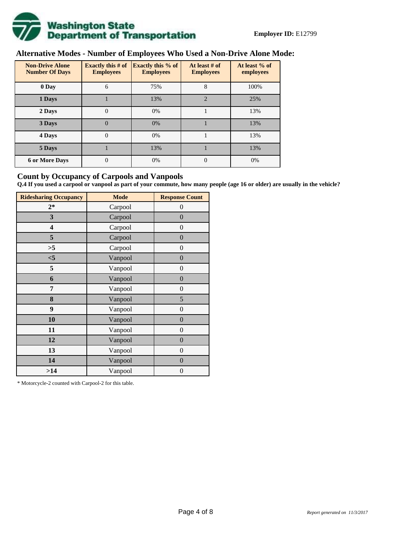

# **Alternative Modes - Number of Employees Who Used a Non-Drive Alone Mode:**

| <b>Non-Drive Alone</b><br><b>Number Of Days</b> | Exactly this $# of$<br><b>Employees</b> | <b>Exactly this % of</b><br><b>Employees</b> | At least # of<br><b>Employees</b> | At least % of<br>employees |  |  |
|-------------------------------------------------|-----------------------------------------|----------------------------------------------|-----------------------------------|----------------------------|--|--|
| 0 Day                                           | 6                                       | 75%                                          | 8                                 | 100%                       |  |  |
| 1 Days                                          |                                         | 13%                                          | $\overline{2}$                    | 25%                        |  |  |
| 2 Days                                          | 0                                       | 0%                                           |                                   | 13%                        |  |  |
| 3 Days                                          | $\theta$                                | 0%                                           |                                   | 13%                        |  |  |
| 4 Days                                          | $\Omega$                                | 0%                                           |                                   | 13%                        |  |  |
| 5 Days                                          |                                         | 13%                                          |                                   | 13%                        |  |  |
| <b>6 or More Days</b>                           | 0                                       | 0%                                           | $\theta$                          | 0%                         |  |  |

## **Count by Occupancy of Carpools and Vanpools**

**Q.4 If you used a carpool or vanpool as part of your commute, how many people (age 16 or older) are usually in the vehicle?**

| <b>Ridesharing Occupancy</b> | <b>Mode</b> | <b>Response Count</b> |
|------------------------------|-------------|-----------------------|
| $2*$                         | Carpool     | 0                     |
| 3                            | Carpool     | $\overline{0}$        |
| 4                            | Carpool     | $\boldsymbol{0}$      |
| 5                            | Carpool     | $\boldsymbol{0}$      |
| >5                           | Carpool     | $\overline{0}$        |
| $<$ 5                        | Vanpool     | $\overline{0}$        |
| 5                            | Vanpool     | $\overline{0}$        |
| 6                            | Vanpool     | $\boldsymbol{0}$      |
| 7                            | Vanpool     | $\overline{0}$        |
| 8                            | Vanpool     | 5                     |
| 9                            | Vanpool     | $\overline{0}$        |
| 10                           | Vanpool     | $\overline{0}$        |
| 11                           | Vanpool     | $\boldsymbol{0}$      |
| 12                           | Vanpool     | $\boldsymbol{0}$      |
| 13                           | Vanpool     | $\boldsymbol{0}$      |
| 14                           | Vanpool     | $\overline{0}$        |
| >14                          | Vanpool     | $\boldsymbol{0}$      |

\* Motorcycle-2 counted with Carpool-2 for this table.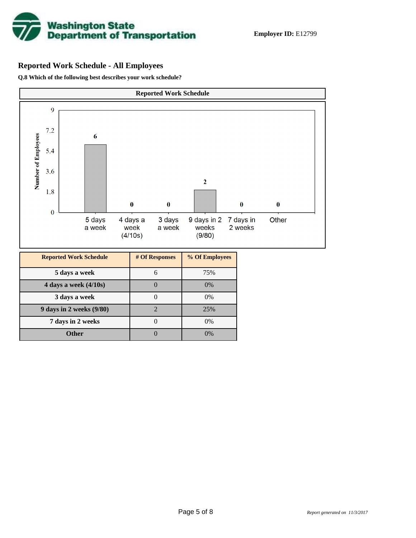

# **Reported Work Schedule - All Employees**

**Q.8 Which of the following best describes your work schedule?**

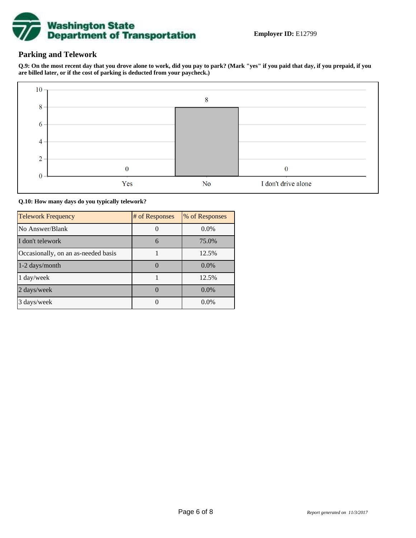

# **Parking and Telework**

**Q.9: On the most recent day that you drove alone to work, did you pay to park? (Mark "yes" if you paid that day, if you prepaid, if you are billed later, or if the cost of parking is deducted from your paycheck.)**



**Q.10: How many days do you typically telework?**

| <b>Telework Frequency</b>           | # of Responses | % of Responses |
|-------------------------------------|----------------|----------------|
| No Answer/Blank                     |                | $0.0\%$        |
| I don't telework                    | 6              | 75.0%          |
| Occasionally, on an as-needed basis |                | 12.5%          |
| 1-2 days/month                      |                | $0.0\%$        |
| 1 day/week                          |                | 12.5%          |
| 2 days/week                         |                | 0.0%           |
| 3 days/week                         |                | $0.0\%$        |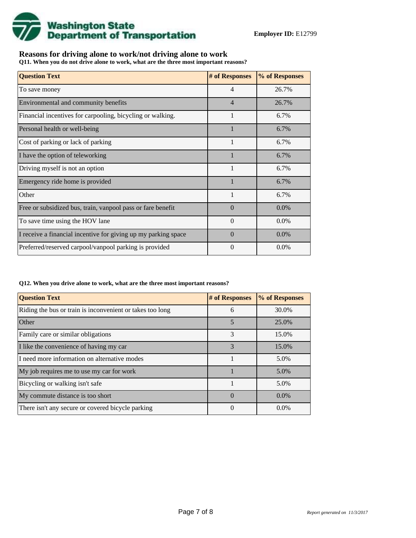

# **Reasons for driving alone to work/not driving alone to work**

**Q11. When you do not drive alone to work, what are the three most important reasons?**

| <b>Question Text</b>                                           | # of Responses | % of Responses |
|----------------------------------------------------------------|----------------|----------------|
| To save money                                                  | $\overline{4}$ | 26.7%          |
| Environmental and community benefits                           | $\overline{4}$ | 26.7%          |
| Financial incentives for carpooling, bicycling or walking.     | $\mathbf{1}$   | 6.7%           |
| Personal health or well-being                                  | 1              | 6.7%           |
| Cost of parking or lack of parking                             | 1              | 6.7%           |
| I have the option of teleworking                               |                | 6.7%           |
| Driving myself is not an option                                | 1              | 6.7%           |
| Emergency ride home is provided                                |                | 6.7%           |
| Other                                                          | $\mathbf{1}$   | 6.7%           |
| Free or subsidized bus, train, vanpool pass or fare benefit    | $\Omega$       | $0.0\%$        |
| To save time using the HOV lane                                | $\Omega$       | $0.0\%$        |
| I receive a financial incentive for giving up my parking space | $\Omega$       | $0.0\%$        |
| Preferred/reserved carpool/vanpool parking is provided         | $\theta$       | $0.0\%$        |

#### **Q12. When you drive alone to work, what are the three most important reasons?**

| <b>Question Text</b>                                      | # of Responses | % of Responses |  |  |
|-----------------------------------------------------------|----------------|----------------|--|--|
| Riding the bus or train is inconvenient or takes too long | 6              | 30.0%          |  |  |
| <b>Other</b>                                              | 5              | 25.0%          |  |  |
| Family care or similar obligations                        | 3              | 15.0%          |  |  |
| I like the convenience of having my car                   | 3              | 15.0%          |  |  |
| I need more information on alternative modes              |                | 5.0%           |  |  |
| My job requires me to use my car for work                 |                | 5.0%           |  |  |
| Bicycling or walking isn't safe                           |                | 5.0%           |  |  |
| My commute distance is too short                          | $\Omega$       | $0.0\%$        |  |  |
| There isn't any secure or covered bicycle parking         | $\theta$       | $0.0\%$        |  |  |